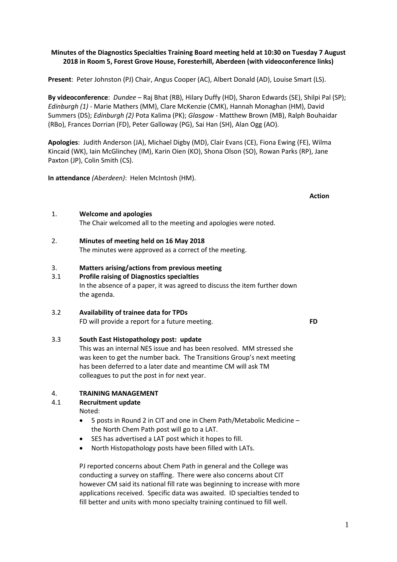### **Minutes of the Diagnostics Specialties Training Board meeting held at 10:30 on Tuesday 7 August 2018 in Room 5, Forest Grove House, Foresterhill, Aberdeen (with videoconference links)**

**Present**: Peter Johnston (PJ) Chair, Angus Cooper (AC), Albert Donald (AD), Louise Smart (LS).

**By videoconference**: *Dundee* – Raj Bhat (RB), Hilary Duffy (HD), Sharon Edwards (SE), Shilpi Pal (SP); *Edinburgh (1)* - Marie Mathers (MM), Clare McKenzie (CMK), Hannah Monaghan (HM), David Summers (DS); *Edinburgh (2)* Pota Kalima (PK); *Glasgow* - Matthew Brown (MB), Ralph Bouhaidar (RBo), Frances Dorrian (FD), Peter Galloway (PG), Sai Han (SH), Alan Ogg (AO).

**Apologies**: Judith Anderson (JA), Michael Digby (MD), Clair Evans (CE), Fiona Ewing (FE), Wilma Kincaid (WK), Iain McGlinchey (IM), Karin Oien (KO), Shona Olson (SO), Rowan Parks (RP), Jane Paxton (JP), Colin Smith (CS).

**In attendance** *(Aberdeen)*: Helen McIntosh (HM).

1. **Welcome and apologies**

The Chair welcomed all to the meeting and apologies were noted.

- 2. **Minutes of meeting held on 16 May 2018** The minutes were approved as a correct of the meeting.
- 3. **Matters arising/actions from previous meeting**
- 3.1 **Profile raising of Diagnostics specialties**

In the absence of a paper, it was agreed to discuss the item further down the agenda.

3.2 **Availability of trainee data for TPDs**

FD will provide a report for a future meeting. **FD**

# 3.3 **South East Histopathology post: update**

This was an internal NES issue and has been resolved. MM stressed she was keen to get the number back. The Transitions Group's next meeting has been deferred to a later date and meantime CM will ask TM colleagues to put the post in for next year.

# 4. **TRAINING MANAGEMENT**

# 4.1 **Recruitment update**

Noted:

- 5 posts in Round 2 in CIT and one in Chem Path/Metabolic Medicine the North Chem Path post will go to a LAT.
- SES has advertised a LAT post which it hopes to fill.
- North Histopathology posts have been filled with LATs.

PJ reported concerns about Chem Path in general and the College was conducting a survey on staffing. There were also concerns about CIT however CM said its national fill rate was beginning to increase with more applications received. Specific data was awaited. ID specialties tended to fill better and units with mono specialty training continued to fill well.

**Action**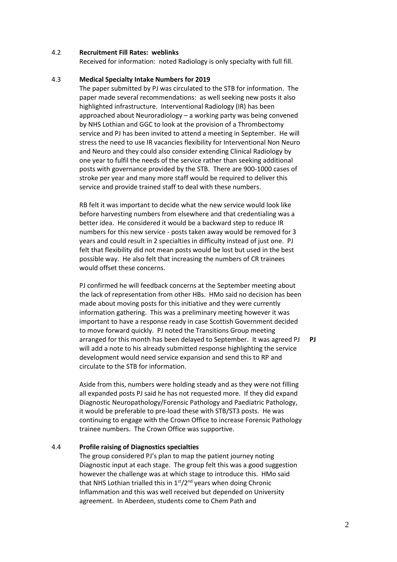#### 4.2 **Recruitment Fill Rates: weblinks**

Received for information: noted Radiology is only specialty with full fill.

#### 4.3 **Medical Specialty Intake Numbers for 2019**

The paper submitted by PJ was circulated to the STB for information. The paper made several recommendations: as well seeking new posts it also highlighted infrastructure. Interventional Radiology (IR) has been approached about Neuroradiology – a working party was being convened by NHS Lothian and GGC to look at the provision of a Thrombectomy service and PJ has been invited to attend a meeting in September. He will stress the need to use IR vacancies flexibility for Interventional Non Neuro and Neuro and they could also consider extending Clinical Radiology by one year to fulfil the needs of the service rather than seeking additional posts with governance provided by the STB. There are 900-1000 cases of stroke per year and many more staff would be required to deliver this service and provide trained staff to deal with these numbers.

RB felt it was important to decide what the new service would look like before harvesting numbers from elsewhere and that credentialing was a better idea. He considered it would be a backward step to reduce IR numbers for this new service - posts taken away would be removed for 3 years and could result in 2 specialties in difficulty instead of just one. PJ felt that flexibility did not mean posts would be lost but used in the best possible way. He also felt that increasing the numbers of CR trainees would offset these concerns.

PJ confirmed he will feedback concerns at the September meeting about the lack of representation from other HBs. HMo said no decision has been made about moving posts for this initiative and they were currently information gathering. This was a preliminary meeting however it was important to have a response ready in case Scottish Government decided to move forward quickly. PJ noted the Transitions Group meeting arranged for this month has been delayed to September. It was agreed PJ will add a note to his already submitted response highlighting the service development would need service expansion and send this to RP and circulate to the STB for information.

**PJ**

Aside from this, numbers were holding steady and as they were not filling all expanded posts PJ said he has not requested more. If they did expand Diagnostic Neuropathology/Forensic Pathology and Paediatric Pathology, it would be preferable to pre-load these with STB/ST3 posts. He was continuing to engage with the Crown Office to increase Forensic Pathology trainee numbers. The Crown Office was supportive.

#### 4.4 **Profile raising of Diagnostics specialties**

The group considered PJ's plan to map the patient journey noting Diagnostic input at each stage. The group felt this was a good suggestion however the challenge was at which stage to introduce this. HMo said that NHS Lothian trialled this in  $1<sup>st</sup>/2<sup>nd</sup>$  years when doing Chronic Inflammation and this was well received but depended on University agreement. In Aberdeen, students come to Chem Path and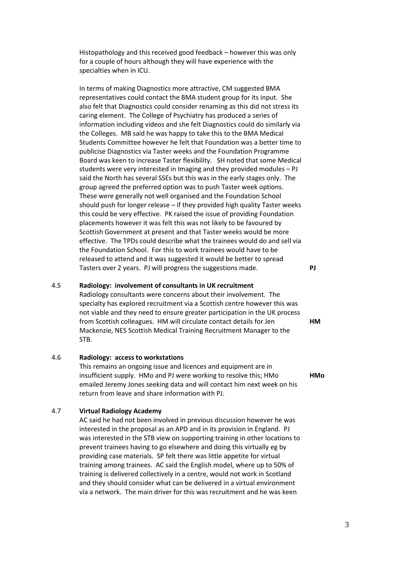Histopathology and this received good feedback – however this was only for a couple of hours although they will have experience with the specialties when in ICU.

In terms of making Diagnostics more attractive, CM suggested BMA representatives could contact the BMA student group for its input. She also felt that Diagnostics could consider renaming as this did not stress its caring element. The College of Psychiatry has produced a series of information including videos and she felt Diagnostics could do similarly via the Colleges. MB said he was happy to take this to the BMA Medical Students Committee however he felt that Foundation was a better time to publicise Diagnostics via Taster weeks and the Foundation Programme Board was keen to increase Taster flexibility. SH noted that some Medical students were very interested in Imaging and they provided modules – PJ said the North has several SSEs but this was in the early stages only. The group agreed the preferred option was to push Taster week options. These were generally not well organised and the Foundation School should push for longer release – if they provided high quality Taster weeks this could be very effective. PK raised the issue of providing Foundation placements however it was felt this was not likely to be favoured by Scottish Government at present and that Taster weeks would be more effective. The TPDs could describe what the trainees would do and sell via the Foundation School. For this to work trainees would have to be released to attend and it was suggested it would be better to spread Tasters over 2 years. PJ will progress the suggestions made. **PJ**

### 4.5 **Radiology: involvement of consultants in UK recruitment**

Radiology consultants were concerns about their involvement. The specialty has explored recruitment via a Scottish centre however this was not viable and they need to ensure greater participation in the UK process from Scottish colleagues. HM will circulate contact details for Jen Mackenzie, NES Scottish Medical Training Recruitment Manager to the STB.

#### 4.6 **Radiology: access to workstations**

This remains an ongoing issue and licences and equipment are in insufficient supply. HMo and PJ were working to resolve this; HMo emailed Jeremy Jones seeking data and will contact him next week on his return from leave and share information with PJ.

#### 4.7 **Virtual Radiology Academy**

AC said he had not been involved in previous discussion however he was interested in the proposal as an APD and in its provision in England. PJ was interested in the STB view on supporting training in other locations to prevent trainees having to go elsewhere and doing this virtually eg by providing case materials. SP felt there was little appetite for virtual training among trainees. AC said the English model, where up to 50% of training is delivered collectively in a centre, would not work in Scotland and they should consider what can be delivered in a virtual environment via a network. The main driver for this was recruitment and he was keen

**HM**

**HMo**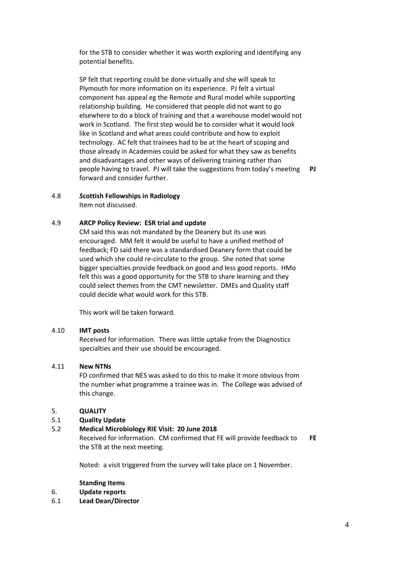for the STB to consider whether it was worth exploring and identifying any potential benefits.

SP felt that reporting could be done virtually and she will speak to Plymouth for more information on its experience. PJ felt a virtual component has appeal eg the Remote and Rural model while supporting relationship building. He considered that people did not want to go elsewhere to do a block of training and that a warehouse model would not work in Scotland. The first step would be to consider what it would look like in Scotland and what areas could contribute and how to exploit technology. AC felt that trainees had to be at the heart of scoping and those already in Academies could be asked for what they saw as benefits and disadvantages and other ways of delivering training rather than people having to travel. PJ will take the suggestions from today's meeting forward and consider further.

**PJ**

# 4.8 *S***cottish Fellowships in Radiology**

Item not discussed.

# 4.9 **ARCP Policy Review: ESR trial and update**

CM said this was not mandated by the Deanery but its use was encouraged. MM felt it would be useful to have a unified method of feedback; FD said there was a standardised Deanery form that could be used which she could re-circulate to the group. She noted that some bigger specialties provide feedback on good and less good reports. HMo felt this was a good opportunity for the STB to share learning and they could select themes from the CMT newsletter. DMEs and Quality staff could decide what would work for this STB.

This work will be taken forward.

### 4.10 **IMT posts**

Received for information. There was little uptake from the Diagnostics specialties and their use should be encouraged.

### 4.11 **New NTNs**

FD confirmed that NES was asked to do this to make it more obvious from the number what programme a trainee was in. The College was advised of this change.

# 5. **QUALITY**

# 5.1 **Quality Update**

### 5.2 **Medical Microbiology RIE Visit: 20 June 2018**

Received for information. CM confirmed that FE will provide feedback to the STB at the next meeting. **FE**

Noted: a visit triggered from the survey will take place on 1 November.

#### **Standing Items**

- 6. **Update reports**
- 6.1 **Lead Dean/Director**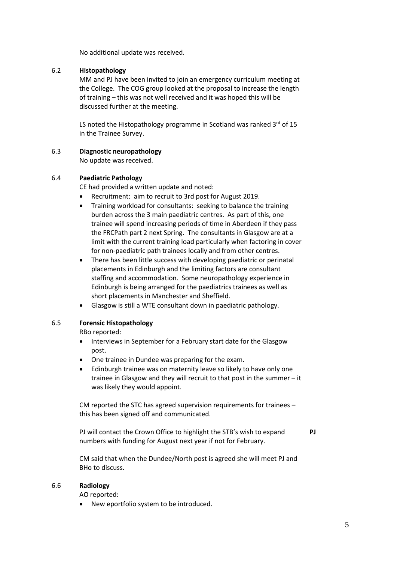No additional update was received.

# 6.2 **Histopathology**

MM and PJ have been invited to join an emergency curriculum meeting at the College. The COG group looked at the proposal to increase the length of training – this was not well received and it was hoped this will be discussed further at the meeting.

LS noted the Histopathology programme in Scotland was ranked  $3<sup>rd</sup>$  of 15 in the Trainee Survey.

# 6.3 **Diagnostic neuropathology**

No update was received.

### 6.4 **Paediatric Pathology**

CE had provided a written update and noted:

- Recruitment: aim to recruit to 3rd post for August 2019.
- Training workload for consultants: seeking to balance the training burden across the 3 main paediatric centres. As part of this, one trainee will spend increasing periods of time in Aberdeen if they pass the FRCPath part 2 next Spring. The consultants in Glasgow are at a limit with the current training load particularly when factoring in cover for non-paediatric path trainees locally and from other centres.
- There has been little success with developing paediatric or perinatal placements in Edinburgh and the limiting factors are consultant staffing and accommodation. Some neuropathology experience in Edinburgh is being arranged for the paediatrics trainees as well as short placements in Manchester and Sheffield.
- Glasgow is still a WTE consultant down in paediatric pathology.

### 6.5 **Forensic Histopathology**

RBo reported:

- Interviews in September for a February start date for the Glasgow post.
- One trainee in Dundee was preparing for the exam.
- Edinburgh trainee was on maternity leave so likely to have only one trainee in Glasgow and they will recruit to that post in the summer – it was likely they would appoint.

CM reported the STC has agreed supervision requirements for trainees – this has been signed off and communicated.

PJ will contact the Crown Office to highlight the STB's wish to expand numbers with funding for August next year if not for February. **PJ**

CM said that when the Dundee/North post is agreed she will meet PJ and BHo to discuss.

### 6.6 **Radiology**

AO reported:

New eportfolio system to be introduced.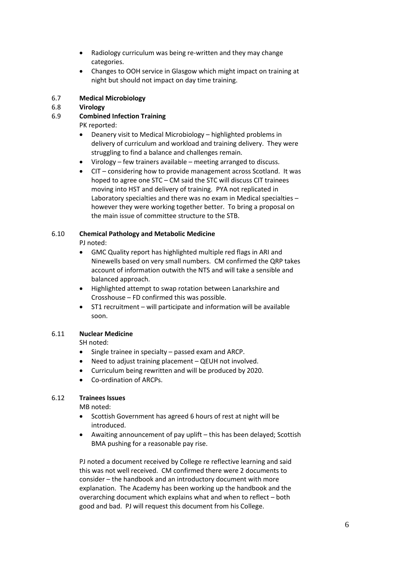- Radiology curriculum was being re-written and they may change categories.
- Changes to OOH service in Glasgow which might impact on training at night but should not impact on day time training.

#### 6.7 **Medical Microbiology**

#### 6.8 **Virology**

#### 6.9 **Combined Infection Training**

PK reported:

- Deanery visit to Medical Microbiology highlighted problems in delivery of curriculum and workload and training delivery. They were struggling to find a balance and challenges remain.
- Virology few trainers available meeting arranged to discuss.
- CIT considering how to provide management across Scotland. It was hoped to agree one STC – CM said the STC will discuss CIT trainees moving into HST and delivery of training. PYA not replicated in Laboratory specialties and there was no exam in Medical specialties – however they were working together better. To bring a proposal on the main issue of committee structure to the STB.

# 6.10 **Chemical Pathology and Metabolic Medicine**

PJ noted:

- GMC Quality report has highlighted multiple red flags in ARI and Ninewells based on very small numbers. CM confirmed the QRP takes account of information outwith the NTS and will take a sensible and balanced approach.
- Highlighted attempt to swap rotation between Lanarkshire and Crosshouse – FD confirmed this was possible.
- ST1 recruitment will participate and information will be available soon.

# 6.11 **Nuclear Medicine**

SH noted:

- Single trainee in specialty passed exam and ARCP.
- Need to adjust training placement QEUH not involved.
- Curriculum being rewritten and will be produced by 2020.
- Co-ordination of ARCPs.

# 6.12 **Trainees Issues**

MB noted:

- Scottish Government has agreed 6 hours of rest at night will be introduced.
- Awaiting announcement of pay uplift this has been delayed; Scottish BMA pushing for a reasonable pay rise.

PJ noted a document received by College re reflective learning and said this was not well received. CM confirmed there were 2 documents to consider – the handbook and an introductory document with more explanation. The Academy has been working up the handbook and the overarching document which explains what and when to reflect – both good and bad. PJ will request this document from his College.